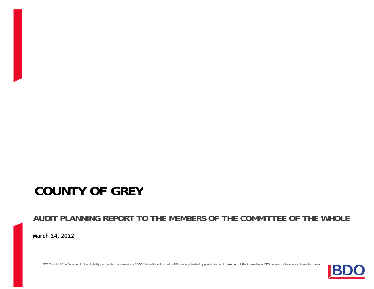# **COUNTY OF GREY**

**AUDIT PLANNING REPORT TO THE MEMBERS OF THE COMMITTEE OF THE WHOLE March 10, 2022**

BDO Canada LLP, a Canadian limited liability partnership, is a member of BDO International Limited, a UK company limited by guarantee, and forms part of the international BDO network of independent member firms.

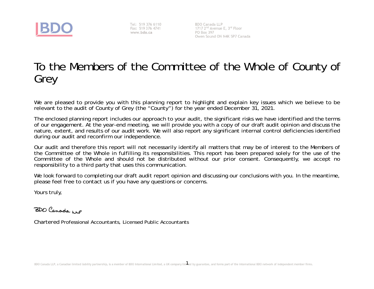

Tel: 519 376 6110 www.bdo.ca

**BDO Canada LLP** PO Box 397 Owen Sound ON N4K 5P7 Canada

# To the Members of the Committee of the Whole of County ofGrey

We are pleased to provide you with this planning report to highlight and explain key issues which we believe to berelevant to the audit of County of Grey (the "County") for the year ended December 31, 2021.

The enclosed planning report includes our approach to your audit, the significant risks we have identified and the terms of our engagement. At the year-end meeting, we will provide you with a copy of our draft audit opinion and discuss the nature, extent, and results of our audit work. We will also report any significant internal control deficiencies identifiedduring our audit and reconfirm our independence.

Our audit and therefore this report will not necessarily identify all matters that may be of interest to the Members of the Committee of the Whole in fulfilling its responsibilities. This report has been prepared solely for the use of theCommittee of the Whole and should not be distributed without our prior consent. Consequently, we accept no responsibility to a third party that uses this communication.

We look forward to completing our draft audit report opinion and discussing our conclusions with you. In the meantime, please feel free to contact us if you have any questions or concerns.

Yours truly,

BDO Canada up

Chartered Professional Accountants, Licensed Public Accountants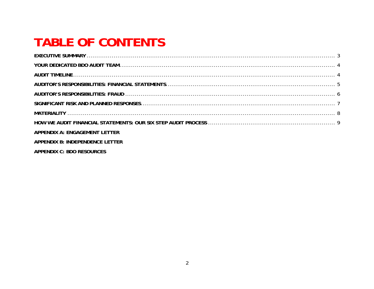# **TABLE OF CONTENTS**

| APPENDIX A: ENGAGEMENT LETTER   |  |
|---------------------------------|--|
| APPENDIX B: INDEPENDENCE LETTER |  |
| APPENDIX C: BDO RESOURCES       |  |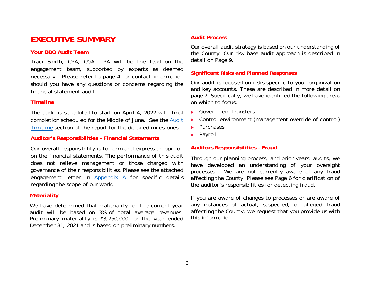## **EXECUTIVE SUMMARY**

## **Your BDO Audit Team**

 Traci Smith, CPA, CGA, LPA will be the lead on theengagement team, supported by experts as deemed necessary. Please refer to page 4 for contact information should you have any questions or concerns regarding thefinancial statement audit.

## **Timeline**

The audit is scheduled to start on April 4, 2022 with finalcompletion scheduled for the Middle of June. See the <u>Audit</u> Timeline section of the report for the detailed milestones.

## **Auditor's Responsibilities – Financial Statements**

Our overall responsibility is to form and express an opinion on the financial statements. The performance of this audit does not relieve management or those charged with governance of their responsibilities. Please see the attachedengagement letter in <u>Appendix A</u> for specific details regarding the scope of our work.

## **Materiality**

We have determined that materiality for the current year audit will be based on 3% of total average revenues.Preliminary materiality is \$3,750,000 for the year endec December 31, 2021 and is based on preliminary numbers.

## **Audit Process**

Our overall audit strategy is based on our understanding of the County. Our risk base audit approach is described indetail on Page 9.

## **Significant Risks and Planned Responses**

Our audit is focused on risks specific to your organization and key accounts. These are described in more detail on page 7. Specifically, we have identified the following areason which to focus:

- Government transfers
- Control environment (management override of control)
- $\blacktriangleright$  Purchases
- **Payroll**

## **Auditors Responsibilities – Fraud**

Through our planning process, and prior years' audits, we have developed an understanding of your oversightprocesses. We are not currently aware of any frauc affecting the County. Please see Page 6 for clarification ofthe auditor's responsibilities for detecting fraud.

If you are aware of changes to processes or are aware ofany instances of actual, suspected, or alleged frauc affecting the County, we request that you provide us withthis information.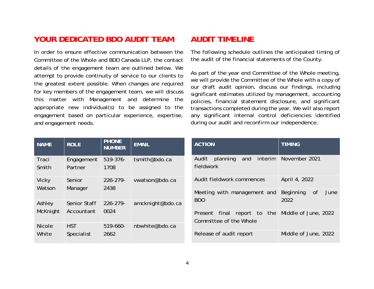## **YOUR DEDICATED BDO AUDIT TEAM**

In order to ensure effective communication between the Committee of the Whole and BDO Canada LLP, the contactdetails of the engagement team are outlined below. We attempt to provide continuity of service to our clients to the greatest extent possible. When changes are required for key members of the engagement team, we will discuss this matter with Management and determine the appropriate new individual(s) to be assigned to theengagement based on particular experience, expertise and engagement needs.

## **AUDIT TIMELINE**

The following schedule outlines the anticipated timing ofthe audit of the financial statements of the County.

As part of the year end Committee of the Whole meeting, we will provide the Committee of the Whole with a copy of our draft audit opinion, discuss our findings, including significant estimates utilized by management, accounting policies, financial statement disclosure, and significant transactions completed during the year. We will also report any significant internal control deficiencies identifiedduring our audit and reconfirm our independence.

| <b>NAME</b>     | <b>ROLE</b>        | <b>PHONE</b><br><b>NUMBER</b> | <b>EMAIL</b>            | <b>ACTION</b>                                                  | <b>TIMING</b>        |
|-----------------|--------------------|-------------------------------|-------------------------|----------------------------------------------------------------|----------------------|
| Traci           | Engagement         | $519 - 376 -$                 | tsmith@bdo.ca           | interim<br>planning<br>Audit<br>and                            | November 2021        |
| Smith           | Partner            | 1708                          |                         | fieldwork                                                      |                      |
| Vicky<br>Watson | Senior<br>Manager  | $226 - 279$<br>2438           | vwatson@bdo.ca          | Audit fieldwork commences                                      | April 4, 2022        |
|                 |                    | Meeting with management and   | Beginning<br>0f<br>June |                                                                |                      |
| Ashley          | Senior Staff       | $226 - 279$                   | amcknight@bdo.ca        | <b>BDO</b>                                                     | 2022                 |
| McKnight        | Accountant         | 0024                          |                         | the<br>final<br>report to<br>Present<br>Committee of the Whole | Middle of June, 2022 |
| <b>Nicole</b>   | <b>HST</b>         | $519-660-$                    | nbwhite@bdo.ca          |                                                                |                      |
| White           | 2662<br>Specialist |                               | Release of audit report | Middle of June, 2022                                           |                      |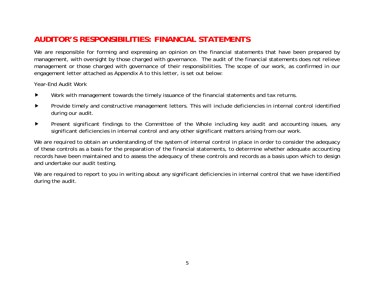## **AUDITOR'S RESPONSIBILITIES: FINANCIAL STATEMENTS**

We are responsible for forming and expressing an opinion on the financial statements that have been prepared by management, with oversight by those charged with governance. The audit of the financial statements does not relieve management or those charged with governance of their responsibilities. The scope of our work, as confirmed in ourengagement letter attached as Appendix A to this letter, is set out below:

Year-End Audit Work

- Work with management towards the timely issuance of the financial statements and tax returns. $\blacktriangleright$
- Provide timely and constructive management letters. This will include deficiencies in internal control identifiedduring our audit.
- Present significant findings to the Committee of the Whole including key audit and accounting issues, anysignificant deficiencies in internal control and any other significant matters arising from our work.

We are required to obtain an understanding of the system of internal control in place in order to consider the adequacy of these controls as a basis for the preparation of the financial statements, to determine whether adequate accounting records have been maintained and to assess the adequacy of these controls and records as a basis upon which to designand undertake our audit testing.

We are required to report to you in writing about any significant deficiencies in internal control that we have identified during the audit.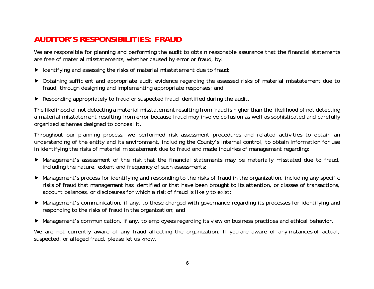## **AUDITOR'S RESPONSIBILITIES: FRAUD**

We are responsible for planning and performing the audit to obtain reasonable assurance that the financial statementsare free of material misstatements, whether caused by error or fraud, by:

- Identifying and assessing the risks of material misstatement due to fraud;
- Obtaining sufficient and appropriate audit evidence regarding the assessed risks of material misstatement due tofraud, through designing and implementing appropriate responses; and
- Responding appropriately to fraud or suspected fraud identified during the audit.

The likelihood of not detecting a material misstatement resulting from fraud is higher than the likelihood of not detecting a material misstatement resulting from error because fraud may involve collusion as well as sophisticated and carefullyorganized schemes designed to conceal it.

Throughout our planning process, we performed risk assessment procedures and related activities to obtain an understanding of the entity and its environment, including the County's internal control, to obtain information for usein identifying the risks of material misstatement due to fraud and made inquiries of management regarding:

- Management's assessment of the risk that the financial statements may be materially misstated due to fraud,including the nature, extent and frequency of such assessments;
- Management's process for identifying and responding to the risks of fraud in the organization, including any specific risks of fraud that management has identified or that have been brought to its attention, or classes of transactions,account balances, or disclosures for which a risk of fraud is likely to exist;
- Management's communication, if any, to those charged with governance regarding its processes for identifying andresponding to the risks of fraud in the organization; and
- Management's communication, if any, to employees regarding its view on business practices and ethical behavior.

We are not currently aware of any fraud affecting the organization. If you are aware of any instances of actual, suspected, or alleged fraud, please let us know.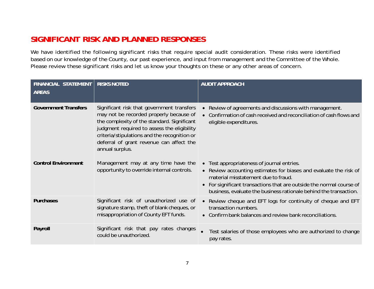## **SIGNIFICANT RISK AND PLANNED RESPONSES**

We have identified the following significant risks that require special audit consideration. These risks were identified based on our knowledge of the County, our past experience, and input from management and the Committee of the Whole.Please review these significant risks and let us know your thoughts on these or any other areas of concern.

| FINANCIAL STATEMENT<br>AREAS | <b>RISKS NOTED</b>                                                                                                                                                                                                                                                                                 | <b>AUDIT APPROACH</b>                                                                                                                                                                                                                                                                               |
|------------------------------|----------------------------------------------------------------------------------------------------------------------------------------------------------------------------------------------------------------------------------------------------------------------------------------------------|-----------------------------------------------------------------------------------------------------------------------------------------------------------------------------------------------------------------------------------------------------------------------------------------------------|
| <b>Government Transfers</b>  | Significant risk that government transfers<br>may not be recorded properly because of<br>the complexity of the standard. Significant<br>judgment required to assess the eligibility<br>criteria/stipulations and the recognition or<br>deferral of grant revenue can affect the<br>annual surplus. | • Review of agreements and discussions with management.<br>• Confirmation of cash received and reconciliation of cash flows and<br>eligible expenditures.                                                                                                                                           |
| <b>Control Environment</b>   | Management may at any time have the<br>opportunity to override internal controls.                                                                                                                                                                                                                  | • Test appropriateness of journal entries.<br>• Review accounting estimates for biases and evaluate the risk of<br>material misstatement due to fraud.<br>• For significant transactions that are outside the normal course of<br>business, evaluate the business rationale behind the transaction. |
| Purchases                    | Significant risk of unauthorized use of<br>signature stamp, theft of blank cheques, or<br>misappropriation of County EFT funds.                                                                                                                                                                    | • Review cheque and EFT logs for continuity of cheque and EFT<br>transaction numbers.<br>• Confirm bank balances and review bank reconciliations.                                                                                                                                                   |
| Payroll                      | Significant risk that pay rates changes<br>could be unauthorized.                                                                                                                                                                                                                                  | Test salaries of those employees who are authorized to change<br>pay rates.                                                                                                                                                                                                                         |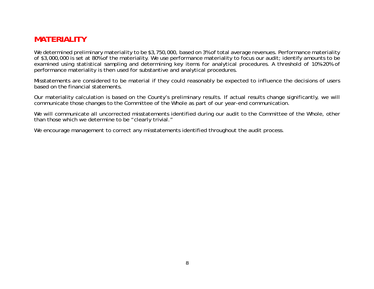## **MATERIALITY**

We determined preliminary materiality to be \$3,750,000, based on 3% of total average revenues. Performance materiality of \$3,000,000 is set at 80% of the materiality. We use performance materiality to focus our audit; identify amounts to be examined using statistical sampling and determining key items for analytical procedures. A threshold of 10%-20% ofperformance materiality is then used for substantive and analytical procedures.

Misstatements are considered to be material if they could reasonably be expected to influence the decisions of usersbased on the financial statements.

Our materiality calculation is based on the County's preliminary results. If actual results change significantly, we willcommunicate those changes to the Committee of the Whole as part of our year-end communication.

We will communicate all uncorrected misstatements identified during our audit to the Committee of the Whole, otherthan those which we determine to be "clearly trivial."

We encourage management to correct any misstatements identified throughout the audit process.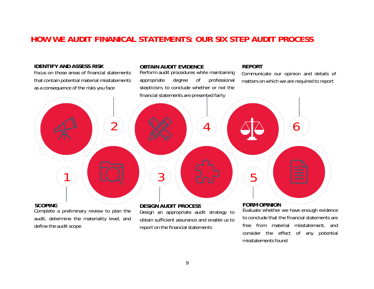## **HOW WE AUDIT FINANICAL STATEMENTS: OUR SIX STEP AUDIT PROCESS**

### **IDENTIFY AND ASSESS RISK**

 Focus on those areas of financial statementsthat contain potential material misstatementsas a consequence of the risks you face

## **OBTAIN AUDIT EVIDENCE**

 Perform audit procedures while maintaining appropriate degree of professional skepticism, to conclude whether or not thefinancial statements are presented fairly

## **REPORT**

misstatements found

 Communicate our opinion and details ofmatters on which we are required to report

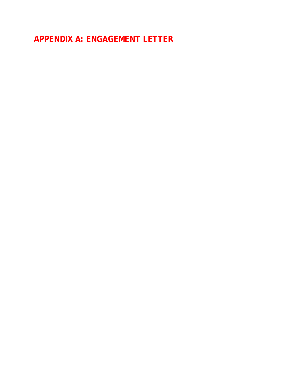**APPENDIX A: ENGAGEMENT LETTER**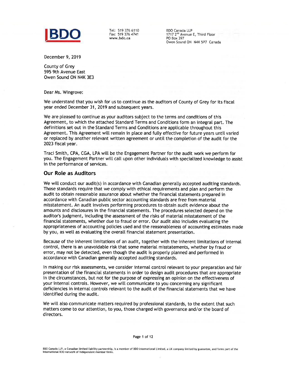

Tel: 519 376 6110 Fax: 519 376 4741 www.bdo.ca

**BDO Canada LLP** 1717 2<sup>nd</sup> Avenue E, Third Floor **PO Box 397** Owen Sound ON N4K 5P7 Canada

December 9, 2019

County of Grev 595 9th Avenue East Owen Sound ON N4K 3E3

Dear Ms. Wingrove:

We understand that you wish for us to continue as the auditors of County of Grey for its fiscal year ended December 31, 2019 and subsequent years.

We are pleased to continue as your auditors subject to the terms and conditions of this Agreement, to which the attached Standard Terms and Conditions form an integral part. The definitions set out in the Standard Terms and Conditions are applicable throughout this Agreement. This Agreement will remain in place and fully effective for future years until varied or replaced by another relevant written agreement or until the completion of the audit for the 2023 fiscal year.

Traci Smith, CPA, CGA, LPA will be the Engagement Partner for the audit work we perform for you. The Engagement Partner will call upon other individuals with specialized knowledge to assist in the performance of services.

#### **Our Role as Auditors**

We will conduct our audit(s) in accordance with Canadian generally accepted auditing standards. Those standards require that we comply with ethical requirements and plan and perform the audit to obtain reasonable assurance about whether the financial statements prepared in accordance with Canadian public sector accounting standards are free from material misstatement. An audit involves performing procedures to obtain audit evidence about the amounts and disclosures in the financial statements. The procedures selected depend on the auditor's judgment, including the assessment of the risks of material misstatement of the financial statements, whether due to fraud or error. Our audit also includes evaluating the appropriateness of accounting policies used and the reasonableness of accounting estimates made by you, as well as evaluating the overall financial statement presentation.

Because of the inherent limitations of an audit, together with the inherent limitations of internal control, there is an unavoidable risk that some material misstatements, whether by fraud or error, may not be detected, even though the audit is properly planned and performed in accordance with Canadian generally accepted auditing standards.

In making our risk assessments, we consider internal control relevant to your preparation and fair presentation of the financial statements in order to design audit procedures that are appropriate in the circumstances, but not for the purpose of expressing an opinion on the effectiveness of your internal controls. However, we will communicate to you concerning any significant deficiencies in internal controls relevant to the audit of the financial statements that we have identified during the audit.

We will also communicate matters required by professional standards, to the extent that such matters come to our attention, to you, those charged with governance and/or the board of directors.

Page 1 of 12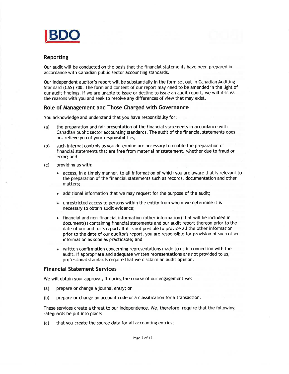

### **Reporting**

Our audit will be conducted on the basis that the financial statements have been prepared in accordance with Canadian public sector accounting standards.

Our independent auditor's report will be substantially in the form set out in Canadian Auditing Standard (CAS) 700. The form and content of our report may need to be amended in the light of our audit findings. If we are unable to issue or decline to issue an audit report, we will discuss the reasons with you and seek to resolve any differences of view that may exist.

#### Role of Management and Those Charged with Governance

You acknowledge and understand that you have responsibility for:

- the preparation and fair presentation of the financial statements in accordance with  $(a)$ Canadian public sector accounting standards. The audit of the financial statements does not relieve you of your responsibilities;
- such internal controls as you determine are necessary to enable the preparation of  $(b)$ financial statements that are free from material misstatement, whether due to fraud or error: and
- providing us with:  $(c)$ 
	- access, in a timely manner, to all information of which you are aware that is relevant to the preparation of the financial statements such as records, documentation and other matters:
	- additional information that we may request for the purpose of the audit;  $\bullet$
	- unrestricted access to persons within the entity from whom we determine it is necessary to obtain audit evidence;
	- financial and non-financial information (other information) that will be included in  $\bullet$ document(s) containing financial statements and our audit report thereon prior to the date of our auditor's report. If it is not possible to provide all the other information prior to the date of our auditor's report, you are responsible for provision of such other information as soon as practicable; and
	- written confirmation concerning representations made to us in connection with the  $\bullet$ audit. If appropriate and adequate written representations are not provided to us, professional standards require that we disclaim an audit opinion.

#### **Financial Statement Services**

We will obtain your approval, if during the course of our engagement we:

- prepare or change a journal entry; or  $(a)$
- prepare or change an account code or a classification for a transaction.  $(b)$

These services create a threat to our independence. We, therefore, require that the following safeguards be put into place:

that you create the source data for all accounting entries;  $(a)$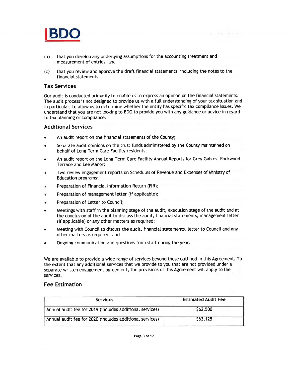

- $(b)$ that you develop any underlying assumptions for the accounting treatment and measurement of entries; and
- that you review and approve the draft financial statements, including the notes to the  $(c)$ financial statements.

### **Tax Services**

Our audit is conducted primarily to enable us to express an opinion on the financial statements. The audit process is not designed to provide us with a full understanding of your tax situation and in particular, to allow us to determine whether the entity has specific tax compliance issues. We understand that you are not looking to BDO to provide you with any guidance or advice in regard to tax planning or compliance.

#### **Additional Services**

- An audit report on the financial statements of the County;
- Separate audit opinions on the trust funds administered by the County maintained on behalf of Long-Term Care Facility residents;
- An audit report on the Long-Term Care Facility Annual Reports for Grey Gables, Rockwood Terrace and Lee Manor;
- Two review engagement reports on Schedules of Revenue and Expenses of Ministry of **Education programs;**
- Preparation of Financial Information Return (FIR):
- Preparation of management letter (if applicable);
- Preparation of Letter to Council;
- Meetings with staff in the planning stage of the audit, execution stage of the audit and at the conclusion of the audit to discuss the audit, financial statements, management letter (if applicable) or any other matters as required;
- Meeting with Council to discuss the audit, financial statements, letter to Council and any other matters as required; and
- Ongoing communication and questions from staff during the year.

We are available to provide a wide range of services beyond those outlined in this Agreement. To the extent that any additional services that we provide to you that are not provided under a separate written engagement agreement, the provisions of this Agreement will apply to the services.

### **Fee Estimation**

| <b>Services</b>                                          | <b>Estimated Audit Fee</b> |
|----------------------------------------------------------|----------------------------|
| Annual audit fee for 2019 (includes additional services) | \$62,500                   |
| Annual audit fee for 2020 (includes additional services) | \$63,125                   |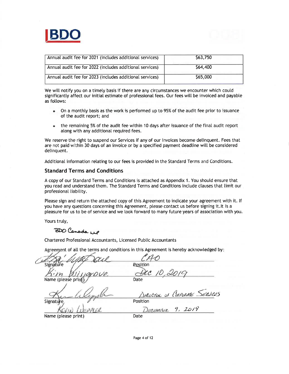

| Annual audit fee for 2021 (includes additional services) | \$63,750 |
|----------------------------------------------------------|----------|
| Annual audit fee for 2022 (includes additional services) | \$64,400 |
| Annual audit fee for 2023 (includes additional services) | \$65,000 |

We will notify you on a timely basis if there are any circumstances we encounter which could significantly affect our initial estimate of professional fees. Our fees will be invoiced and payable as follows:

- On a monthly basis as the work is performed up to 95% of the audit fee prior to issuance  $\bullet$ of the audit report; and
- the remaining 5% of the audit fee within 10 days after issuance of the final audit report  $\bullet$ along with any additional required fees.

We reserve the right to suspend our Services if any of our invoices become delinquent. Fees that are not paid within 30 days of an invoice or by a specified payment deadline will be considered delinquent.

Additional information relating to our fees is provided in the Standard Terms and Conditions.

#### **Standard Terms and Conditions**

A copy of our Standard Terms and Conditions is attached as Appendix 1. You should ensure that you read and understand them. The Standard Terms and Conditions include clauses that limit our professional liability.

Please sign and return the attached copy of this Agreement to indicate your agreement with it. If you have any questions concerning this Agreement, please contact us before signing it. It is a pleasure for us to be of service and we look forward to many future years of association with you.

Yours truly,

## BDO Canada up

Chartered Professional Accountants, Licensed Public Accountants

Agreement of all the terms and conditions in this Agreement is hereby acknowledged by:

| Signature           | <b>Position</b>                |
|---------------------|--------------------------------|
| $2\nu e$            | AC10.2010                      |
| Name (please print) | Date                           |
|                     | DIRECTOR OF COPPORATE SERVICES |
| Signatu             | Position                       |
|                     | DECEMBER 9, 2019               |
| Name (please print) | Date                           |
|                     |                                |

Page 4 of 12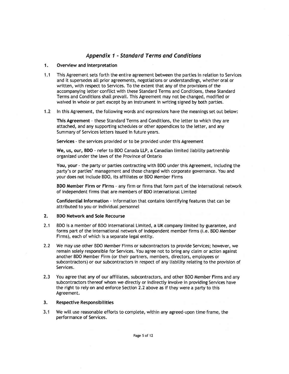### **Appendix 1 - Standard Terms and Conditions**

#### Overview and Interpretation  $1.$

- $1.1$ This Agreement sets forth the entire agreement between the parties in relation to Services and it supersedes all prior agreements, negotiations or understandings, whether oral or written, with respect to Services. To the extent that any of the provisions of the accompanying letter conflict with these Standard Terms and Conditions, these Standard Terms and Conditions shall prevail. This Agreement may not be changed, modified or waived in whole or part except by an instrument in writing signed by both parties.
- $1.2$ In this Agreement, the following words and expressions have the meanings set out below:

This Agreement - these Standard Terms and Conditions, the letter to which they are attached, and any supporting schedules or other appendices to the letter, and any Summary of Services letters issued in future years.

Services - the services provided or to be provided under this Agreement

We, us, our, BDO - refer to BDO Canada LLP, a Canadian limited liability partnership organized under the laws of the Province of Ontario

You, your - the party or parties contracting with BDO under this Agreement, including the party's or parties' management and those charged with corporate governance. You and your does not include BDO, its affiliates or BDO Member Firms

BDO Member Firm or Firms - any firm or firms that form part of the international network of independent firms that are members of BDO International Limited

Confidential Information - information that contains identifying features that can be attributed to you or individual personnel

#### $2.$ **BDO Network and Sole Recourse**

- $2.1$ BDO is a member of BDO International Limited, a UK company limited by guarantee, and forms part of the international network of independent member firms (i.e. BDO Member Firms), each of which is a separate legal entity.
- $2.2$ We may use other BDO Member Firms or subcontractors to provide Services; however, we remain solely responsible for Services. You agree not to bring any claim or action against another BDO Member Firm (or their partners, members, directors, employees or subcontractors) or our subcontractors in respect of any liability relating to the provision of Services.
- $2.3$ You agree that any of our affiliates, subcontractors, and other BDO Member Firms and any subcontractors thereof whom we directly or indirectly involve in providing Services have the right to rely on and enforce Section 2.2 above as if they were a party to this Agreement.

#### 3. **Respective Responsibilities**

We will use reasonable efforts to complete, within any agreed-upon time frame, the  $3.1$ performance of Services.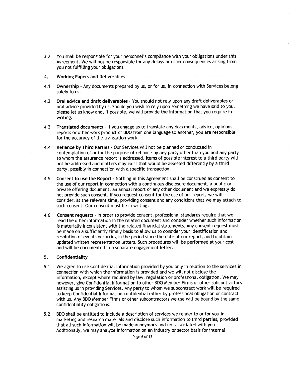$3.2$ You shall be responsible for your personnel's compliance with your obligations under this Agreement. We will not be responsible for any delays or other consequences arising from you not fulfilling your obligations.

#### $4.$ **Working Papers and Deliverables**

- $4.1$ Ownership - Any documents prepared by us, or for us, in connection with Services belong solely to us.
- $4.2$ Oral advice and draft deliverables - You should not rely upon any draft deliverables or oral advice provided by us. Should you wish to rely upon something we have said to you, please let us know and, if possible, we will provide the information that you require in writing.
- $4.3$ Translated documents - If you engage us to translate any documents, advice, opinions, reports or other work product of BDO from one language to another, you are responsible for the accuracy of the translation work.
- $4.4$ Reliance by Third Parties - Our Services will not be planned or conducted in contemplation of or for the purpose of reliance by any party other than you and any party to whom the assurance report is addressed. Items of possible interest to a third party will not be addressed and matters may exist that would be assessed differently by a third party, possibly in connection with a specific transaction.
- 4.5 Consent to use the Report - Nothing in this Agreement shall be construed as consent to the use of our report in connection with a continuous disclosure document, a public or private offering document, an annual report or any other document and we expressly do not provide such consent. If you request consent for the use of our report, we will consider, at the relevant time, providing consent and any conditions that we may attach to such consent. Our consent must be in writing.
- 4.6 Consent requests - In order to provide consent, professional standards require that we read the other information in the related document and consider whether such information is materially inconsistent with the related financial statements. Any consent request must be made on a sufficiently timely basis to allow us to consider your identification and resolution of events occurring in the period since the date of our report, and to obtain updated written representation letters. Such procedures will be performed at your cost and will be documented in a separate engagement letter.

#### $5.$ Confidentiality

- $5.1$ We agree to use Confidential Information provided by you only in relation to the services in connection with which the information is provided and we will not disclose the information, except where required by law, regulation or professional obligation. We may however, give Confidential Information to other BDO Member Firms or other subcontractors assisting us in providing Services. Any party to whom we subcontract work will be required to keep Confidential Information confidential either by professional obligation or contract with us. Any BDO Member Firms or other subcontractors we use will be bound by the same confidentiality obligations.
- BDO shall be entitled to include a description of services we render to or for you in  $5.2$ marketing and research materials and disclose such information to third parties, provided that all such information will be made anonymous and not associated with you. Additionally, we may analyze information on an industry or sector basis for internal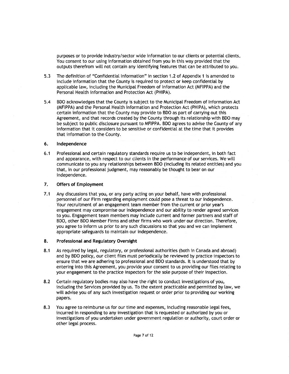purposes or to provide industry/sector wide information to our clients or potential clients. You consent to our using information obtained from you in this way provided that the outputs therefrom will not contain any identifying features that can be attributed to you.

- $5.3$ The definition of "Confidential Information" in section 1.2 of Appendix 1 is amended to include information that the County is required to protect or keep confidential by applicable law, including the Municipal Freedom of Information Act (MFIPPA) and the Personal Health information and Protection Act (PHIPA).
- BDO acknowledges that the County is subject to the Municipal Freedom of Information Act  $5.4$ (MFIPPA) and the Personal Health Information and Protection Act (PHIPA), which protects certain information that the County may provide to BDO as part of carrying out this Agreement, and that records created by the County through its relationship with BDO may be subject to public disclosure pursuant to MFIPPA. BDO agrees to advise the County of any information that it considers to be sensitive or confidential at the time that it provides that information to the County.

#### $6.$ Independence

Professional and certain regulatory standards require us to be independent, in both fact  $6.1$ and appearance, with respect to our clients in the performance of our services. We will communicate to you any relationships between BDO (including its related entities) and you that, in our professional judgment, may reasonably be thought to bear on our independence.

#### $7.$ **Offers of Employment**

 $7.1$ Any discussions that you, or any party acting on your behalf, have with professional personnel of our Firm regarding employment could pose a threat to our independence. Your recruitment of an engagement team member from the current or prior year's engagement may compromise our independence and our ability to render agreed services to you. Engagement team members may include current and former partners and staff of BDO, other BDO Member Firms and other firms who work under our direction. Therefore, you agree to inform us prior to any such discussions so that you and we can implement appropriate safeguards to maintain our independence.

#### 8. Professional and Regulatory Oversight

- $8.1$ As required by legal, regulatory, or professional authorities (both in Canada and abroad) and by BDO policy, our client files must periodically be reviewed by practice inspectors to ensure that we are adhering to professional and BDO standards. It is understood that by entering into this Agreement, you provide your consent to us providing our files relating to your engagement to the practice inspectors for the sole purpose of their inspection.
- Certain regulatory bodies may also have the right to conduct investigations of you,  $8.2$ including the Services provided by us. To the extent practicable and permitted by law, we will advise you of any such investigation request or order prior to providing our working papers.
- You agree to reimburse us for our time and expenses, including reasonable legal fees, 8.3 incurred in responding to any investigation that is requested or authorized by you or investigations of you undertaken under government regulation or authority, court order or other legal process.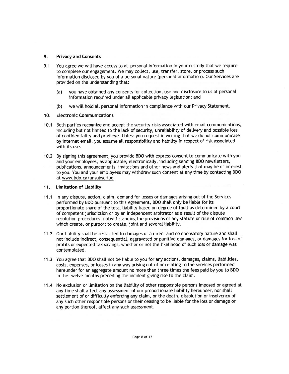#### 9. **Privacy and Consents**

- You agree we will have access to all personal information in your custody that we require  $9.1$ to complete our engagement. We may collect, use, transfer, store, or process such information disclosed by you of a personal nature (personal information). Our Services are provided on the understanding that:
	- you have obtained any consents for collection, use and disclosure to us of personal  $(a)$ information required under all applicable privacy legislation; and
	- $(b)$ we will hold all personal information in compliance with our Privacy Statement.

#### 10. **Electronic Communications**

- Both parties recognize and accept the security risks associated with email communications,  $10.1$ including but not limited to the lack of security, unreliability of delivery and possible loss of confidentiality and privilege. Unless you request in writing that we do not communicate by internet email, you assume all responsibility and liability in respect of risk associated with its use.
- 10.2 By signing this agreement, you provide BDO with express consent to communicate with you and your employees, as applicable, electronically, including sending BDO newsletters, publications, announcements, invitations and other news and alerts that may be of interest to you. You and your employees may withdraw such consent at any time by contacting BDO at www.bdo.ca/unsubscribe.

#### 11. Limitation of Liability

- 11.1 In any dispute, action, claim, demand for losses or damages arising out of the Services performed by BDO pursuant to this Agreement, BDO shall only be liable for its proportionate share of the total liability based on degree of fault as determined by a court of competent jurisdiction or by an independent arbitrator as a result of the dispute resolution procedures, notwithstanding the provisions of any statute or rule of common law which create, or purport to create, joint and several liability.
- 11.2 Our liability shall be restricted to damages of a direct and compensatory nature and shall not include indirect, consequential, aggravated or punitive damages, or damages for loss of profits or expected tax savings, whether or not the likelihood of such loss or damage was contemplated.
- 11.3 You agree that BDO shall not be liable to you for any actions, damages, claims, liabilities, costs, expenses, or losses in any way arising out of or relating to the services performed hereunder for an aggregate amount no more than three times the fees paid by you to BDO in the twelve months preceding the incident giving rise to the claim.
- 11.4 No exclusion or limitation on the liability of other responsible persons imposed or agreed at any time shall affect any assessment of our proportionate liability hereunder, nor shall settlement of or difficulty enforcing any claim, or the death, dissolution or insolvency of any such other responsible persons or their ceasing to be liable for the loss or damage or any portion thereof, affect any such assessment.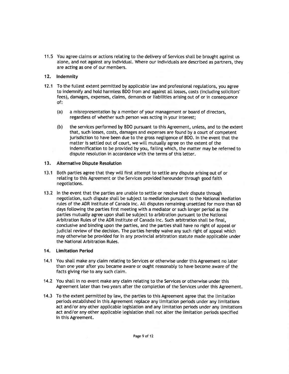11.5 You agree claims or actions relating to the delivery of Services shall be brought against us alone, and not against any individual. Where our individuals are described as partners, they are acting as one of our members.

#### 12. Indemnity

- 12.1 To the fullest extent permitted by applicable law and professional regulations, you agree to indemnify and hold harmless BDO from and against all losses, costs (including solicitors' fees), damages, expenses, claims, demands or liabilities arising out of or in consequence of:
	- $(a)$ a misrepresentation by a member of your management or board of directors, regardless of whether such person was acting in your interest;
	- the services performed by BDO pursuant to this Agreement, unless, and to the extent  $(b)$ that, such losses, costs, damages and expenses are found by a court of competent jurisdiction to have been due to the gross negligence of BDO. In the event that the matter is settled out of court, we will mutually agree on the extent of the indemnification to be provided by you, failing which, the matter may be referred to dispute resolution in accordance with the terms of this letter.

#### $13.$ **Alternative Dispute Resolution**

- 13.1 Both parties agree that they will first attempt to settle any dispute arising out of or relating to this Agreement or the Services provided hereunder through good faith negotiations.
- 13.2 In the event that the parties are unable to settle or resolve their dispute through negotiation, such dispute shall be subject to mediation pursuant to the National Mediation rules of the ADR Institute of Canada Inc. All disputes remaining unsettled for more than 60 days following the parties first meeting with a mediator or such longer period as the parties mutually agree upon shall be subject to arbitration pursuant to the National Arbitration Rules of the ADR Institute of Canada Inc. Such arbitration shall be final, conclusive and binding upon the parties, and the parties shall have no right of appeal or judicial review of the decision. The parties hereby waive any such right of appeal which may otherwise be provided for in any provincial arbitration statute made applicable under the National Arbitration Rules.

### 14. Limitation Period

- 14.1 You shall make any claim relating to Services or otherwise under this Agreement no later than one year after you became aware or ought reasonably to have become aware of the facts giving rise to any such claim.
- 14.2 You shall in no event make any claim relating to the Services or otherwise under this Agreement later than two years after the completion of the Services under this Agreement.
- 14.3 To the extent permitted by law, the parties to this Agreement agree that the limitation periods established in this Agreement replace any limitation periods under any limitations act and/or any other applicable legislation and any limitation periods under any limitations act and/or any other applicable legislation shall not alter the limitation periods specified in this Agreement.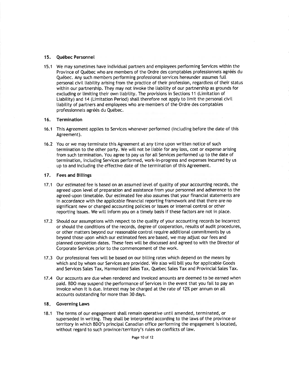#### 15. Québec Personnel

15.1 We may sometimes have individual partners and employees performing Services within the Province of Québec who are members of the Ordre des comptables professionnels agréés du Québec. Any such members performing professional services hereunder assumes full personal civil liability arising from the practice of their profession, regardless of their status within our partnership. They may not invoke the liability of our partnership as grounds for excluding or limiting their own liability. The provisions in Sections 11 (Limitation of Liability) and 14 (Limitation Period) shall therefore not apply to limit the personal civil liability of partners and employees who are members of the Ordre des comptables professionnels agréés du Québec.

#### Termination  $16.$

- 16.1 This Agreement applies to Services whenever performed (including before the date of this Agreement).
- 16.2 You or we may terminate this Agreement at any time upon written notice of such termination to the other party. We will not be liable for any loss, cost or expense arising from such termination. You agree to pay us for all Services performed up to the date of termination, including Services performed, work-in-progress and expenses incurred by us up to and including the effective date of the termination of this Agreement.

#### $17.$ **Fees and Billings**

- 17.1 Our estimated fee is based on an assumed level of quality of your accounting records, the agreed upon level of preparation and assistance from your personnel and adherence to the agreed-upon timetable. Our estimated fee also assumes that your financial statements are in accordance with the applicable financial reporting framework and that there are no significant new or changed accounting policies or issues or internal control or other reporting issues. We will inform you on a timely basis if these factors are not in place.
- 17.2 Should our assumptions with respect to the quality of your accounting records be incorrect or should the conditions of the records, degree of cooperation, results of audit procedures, or other matters beyond our reasonable control require additional commitments by us beyond those upon which our estimated fees are based, we may adjust our fees and planned completion dates. These fees will be discussed and agreed to with the Director of Corporate Services prior to the commencement of the work.
- 17.3 Our professional fees will be based on our billing rates which depend on the means by which and by whom our Services are provided. We also will bill you for applicable Goods and Services Sales Tax, Harmonized Sales Tax, Quebec Sales Tax and Provincial Sales Tax.
- 17.4 Our accounts are due when rendered and invoiced amounts are deemed to be earned when paid. BDO may suspend the performance of Services in the event that you fail to pay an invoice when it is due. Interest may be charged at the rate of 12% per annum on all accounts outstanding for more than 30 days.

#### 18. Governing Laws

18.1 The terms of our engagement shall remain operative until amended, terminated, or superseded in writing. They shall be interpreted according to the laws of the province or territory in which BDO's principal Canadian office performing the engagement is located, without regard to such province/territory's rules on conflicts of law.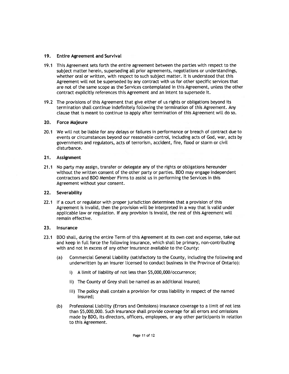#### $19.$ **Entire Agreement and Survival**

- 19.1 This Agreement sets forth the entire agreement between the parties with respect to the subject matter herein, superseding all prior agreements, negotiations or understandings, whether oral or written, with respect to such subject matter. It is understood that this Agreement will not be superseded by any contract with us for other specific services that are not of the same scope as the Services contemplated in this Agreement, unless the other contract explicitly references this Agreement and an intent to supersede it.
- 19.2 The provisions of this Agreement that give either of us rights or obligations beyond its termination shall continue indefinitely following the termination of this Agreement. Any clause that is meant to continue to apply after termination of this Agreement will do so.

#### 20. Force Majeure

20.1 We will not be liable for any delays or failures in performance or breach of contract due to events or circumstances beyond our reasonable control, including acts of God, war, acts by governments and regulators, acts of terrorism, accident, fire, flood or storm or civil disturbance.

#### $21.$ Assignment

No party may assign, transfer or delegate any of the rights or obligations hereunder  $21.1$ without the written consent of the other party or parties. BDO may engage independent contractors and BDO Member Firms to assist us in performing the Services in this Agreement without your consent.

### 22. Severability

22.1 If a court or regulator with proper jurisdiction determines that a provision of this Agreement is invalid, then the provision will be interpreted in a way that is valid under applicable law or regulation. If any provision is invalid, the rest of this Agreement will remain effective.

#### $23.$ **Insurance**

- $23.1$ BDO shall, during the entire Term of this Agreement at its own cost and expense, take out and keep in full force the following insurance, which shall be primary, non-contributing with and not in excess of any other insurance available to the County:
	- Commercial General Liability (satisfactory to the County, including the following and  $(a)$ underwritten by an insurer licensed to conduct business in the Province of Ontario):
		- i) A limit of liability of not less than \$5,000,000/occurrence;
		- ii) The County of Grey shall be named as an additional insured;
		- iii) The policy shall contain a provision for cross liability in respect of the named insured;
	- $(b)$ Professional Liability (Errors and Omissions) insurance coverage to a limit of not less than \$5,000,000. Such insurance shall provide coverage for all errors and omissions made by BDO, its directors, officers, employees, or any other participants in relation to this Agreement.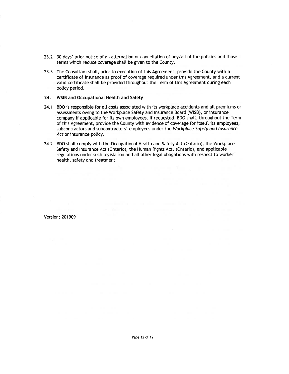- 23.2 30 days' prior notice of an alternation or cancellation of any/all of the policies and those terms which reduce coverage shall be given to the County.
- 23.3 The Consultant shall, prior to execution of this Agreement, provide the County with a certificate of insurance as proof of coverage required under this Agreement, and a current valid certificate shall be provided throughout the Term of this Agreement during each policy period.

#### 24. WSIB and Occupational Health and Safety

- 24.1 BDO is responsible for all costs associated with its workplace accidents and all premiums or assessments owing to the Workplace Safety and Insurance Board (WISB), or insurance company if applicable for its own employees. If requested, BDO shall, throughout the Term of this Agreement, provide the County with evidence of coverage for itself, its employees, subcontractors and subcontractors' employees under the Workplace Safety and Insurance Act or insurance policy.
- 24.2 BDO shall comply with the Occupational Health and Safety Act (Ontario), the Workplace Safety and Insurance Act (Ontario), the Human Rights Act, (Ontario), and applicable regulations under such legislation and all other legal obligations with respect to worker health, safety and treatment.

Version: 201909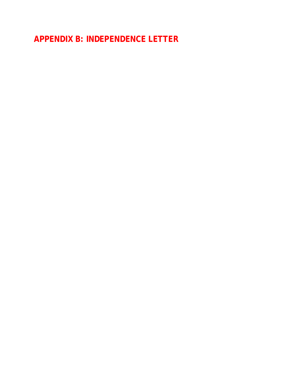**APPENDIX B: INDEPENDENCE LETTER**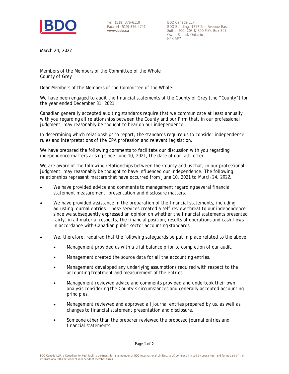

Tel: (519) 376-6110 Fax: +1 (519) 376-4741 **www.bdo.ca**

BDO Canada LLP BDO Building, 1717 2nd Avenue East Suites 200, 203 & 300 P.O. Box 397 Owen Sound, Ontario N4K 5P7

March 24, 2022

Members of the Members of the Committee of the Whole County of Grey

Dear Members of the Members of the Committee of the Whole:

We have been engaged to audit the financial statements of the County of Grey (the "County") for the year ended December 31, 2021.

Canadian generally accepted auditing standards require that we communicate at least annually with you regarding all relationships between the County and our Firm that, in our professional judgment, may reasonably be thought to bear on our independence.

In determining which relationships to report, the standards require us to consider independence rules and interpretations of the CPA profession and relevant legislation.

We have prepared the following comments to facilitate our discussion with you regarding independence matters arising since June 10, 2021, the date of our last letter.

We are aware of the following relationships between the County and us that, in our professional judgment, may reasonably be thought to have influenced our independence. The following relationships represent matters that have occurred from June 10, 2021 to March 24, 2022.

- We have provided advice and comments to management regarding several financial statement measurement, presentation and disclosure matters.
- We have provided assistance in the preparation of the financial statements, including adjusting journal entries. These services created a self-review threat to our independence since we subsequently expressed an opinion on whether the financial statements presented fairly, in all material respects, the financial position, results of operations and cash flows in accordance with Canadian public sector accounting standards.
- We, therefore, required that the following safeguards be put in place related to the above:  $\bullet$ 
	- Management provided us with a trial balance prior to completion of our audit.  $\bullet$
	- Management created the source data for all the accounting entries.  $\bullet$
	- Management developed any underlying assumptions required with respect to the accounting treatment and measurement of the entries.
	- Management reviewed advice and comments provided and undertook their own analysis considering the County's circumstances and generally accepted accounting principles.
	- Management reviewed and approved all journal entries prepared by us, as well as  $\bullet$ changes to financial statement presentation and disclosure.
	- Someone other than the preparer reviewed the proposed journal entries and financial statements.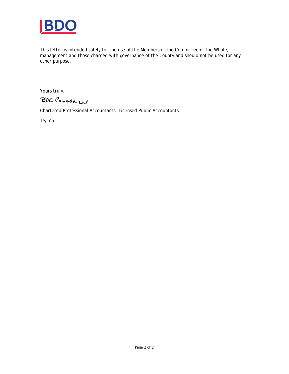

This letter is intended solely for the use of the Members of the Committee of the Whole, management and those charged with governance of the County and should not be used for any other purpose.

Yours truly,

BDO Canada MP

Chartered Professional Accountants, Licensed Public Accountants

TS/mh